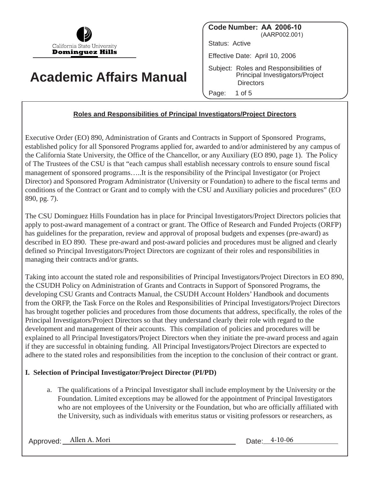

# **Academic Affairs Manual**

**Code Number: AA 2006-10** (AARP002.001) Status: Active Effective Date: April 10, 2006 Subject: Roles and Responsibilities of Principal Investigators/Project **Directors** Page: 1 of 5

## **Roles and Responsibilities of Principal Investigators/Project Directors**

Executive Order (EO) 890, Administration of Grants and Contracts in Support of Sponsored Programs, established policy for all Sponsored Programs applied for, awarded to and/or administered by any campus of the California State University, the Office of the Chancellor, or any Auxiliary (EO 890, page 1). The Policy of The Trustees of the CSU is that "each campus shall establish necessary controls to ensure sound fiscal management of sponsored programs…..It is the responsibility of the Principal Investigator (or Project Director) and Sponsored Program Administrator (University or Foundation) to adhere to the fiscal terms and conditions of the Contract or Grant and to comply with the CSU and Auxiliary policies and procedures" (EO 890, pg. 7).

The CSU Dominguez Hills Foundation has in place for Principal Investigators/Project Directors policies that apply to post-award management of a contract or grant. The Office of Research and Funded Projects (ORFP) has guidelines for the preparation, review and approval of proposal budgets and expenses (pre-award) as described in EO 890. These pre-award and post-award policies and procedures must be aligned and clearly defined so Principal Investigators/Project Directors are cognizant of their roles and responsibilities in managing their contracts and/or grants.

Taking into account the stated role and responsibilities of Principal Investigators/Project Directors in EO 890, the CSUDH Policy on Administration of Grants and Contracts in Support of Sponsored Programs, the developing CSU Grants and Contracts Manual, the CSUDH Account Holders' Handbook and documents from the ORFP, the Task Force on the Roles and Responsibilities of Principal Investigators/Project Directors has brought together policies and procedures from those documents that address, specifically, the roles of the Principal Investigators/Project Directors so that they understand clearly their role with regard to the development and management of their accounts. This compilation of policies and procedures will be explained to all Principal Investigators/Project Directors when they initiate the pre-award process and again if they are successful in obtaining funding. All Principal Investigators/Project Directors are expected to adhere to the stated roles and responsibilities from the inception to the conclusion of their contract or grant.

## **I. Selection of Principal Investigator/Project Director (PI/PD)**

a. The qualifications of a Principal Investigator shall include employment by the University or the Foundation. Limited exceptions may be allowed for the appointment of Principal Investigators who are not employees of the University or the Foundation, but who are officially affiliated with the University, such as individuals with emeritus status or visiting professors or researchers, as

Approved: Allen A. Mori Date: 4-10-06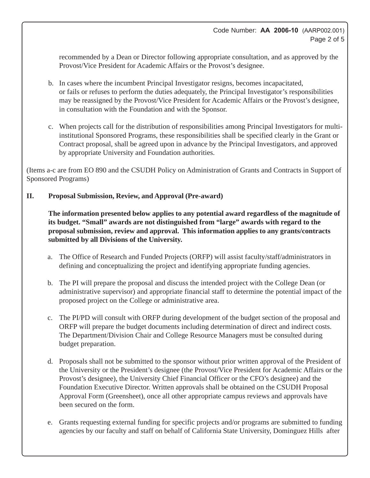recommended by a Dean or Director following appropriate consultation, and as approved by the Provost/Vice President for Academic Affairs or the Provost's designee.

- b. In cases where the incumbent Principal Investigator resigns, becomes incapacitated, or fails or refuses to perform the duties adequately, the Principal Investigator's responsibilities may be reassigned by the Provost/Vice President for Academic Affairs or the Provost's designee, in consultation with the Foundation and with the Sponsor.
- c. When projects call for the distribution of responsibilities among Principal Investigators for multiinstitutional Sponsored Programs, these responsibilities shall be specified clearly in the Grant or Contract proposal, shall be agreed upon in advance by the Principal Investigators, and approved by appropriate University and Foundation authorities.

(Items a-c are from EO 890 and the CSUDH Policy on Administration of Grants and Contracts in Support of Sponsored Programs)

#### **II. Proposal Submission, Review, and Approval (Pre-award)**

**The information presented below applies to any potential award regardless of the magnitude of its budget. "Small" awards are not distinguished from "large" awards with regard to the proposal submission, review and approval. This information applies to any grants/contracts submitted by all Divisions of the University.**

- a. The Office of Research and Funded Projects (ORFP) will assist faculty/staff/administrators in defining and conceptualizing the project and identifying appropriate funding agencies.
- b. The PI will prepare the proposal and discuss the intended project with the College Dean (or administrative supervisor) and appropriate financial staff to determine the potential impact of the proposed project on the College or administrative area.
- c. The PI/PD will consult with ORFP during development of the budget section of the proposal and ORFP will prepare the budget documents including determination of direct and indirect costs. The Department/Division Chair and College Resource Managers must be consulted during budget preparation.
- d. Proposals shall not be submitted to the sponsor without prior written approval of the President of the University or the President's designee (the Provost/Vice President for Academic Affairs or the Provost's designee), the University Chief Financial Officer or the CFO's designee) and the Foundation Executive Director. Written approvals shall be obtained on the CSUDH Proposal Approval Form (Greensheet), once all other appropriate campus reviews and approvals have been secured on the form.
- e. Grants requesting external funding for specific projects and/or programs are submitted to funding agencies by our faculty and staff on behalf of California State University, Dominguez Hills after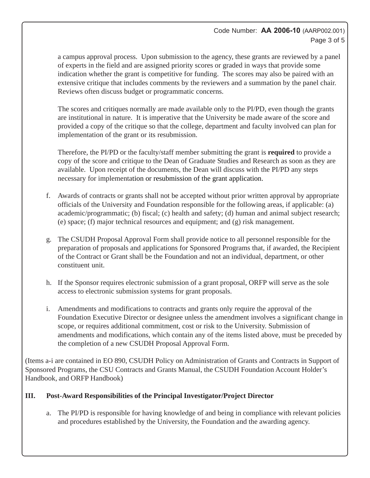### Code Number: **AA 2006-10** (AARP002.001) Page 3 of 5

a campus approval process. Upon submission to the agency, these grants are reviewed by a panel of experts in the field and are assigned priority scores or graded in ways that provide some indication whether the grant is competitive for funding. The scores may also be paired with an extensive critique that includes comments by the reviewers and a summation by the panel chair. Reviews often discuss budget or programmatic concerns.

The scores and critiques normally are made available only to the PI/PD, even though the grants are institutional in nature. It is imperative that the University be made aware of the score and provided a copy of the critique so that the college, department and faculty involved can plan for implementation of the grant or its resubmission.

Therefore, the PI/PD or the faculty/staff member submitting the grant is **required** to provide a copy of the score and critique to the Dean of Graduate Studies and Research as soon as they are available. Upon receipt of the documents, the Dean will discuss with the PI/PD any steps necessary for implementation or resubmission of the grant application.

- f. Awards of contracts or grants shall not be accepted without prior written approval by appropriate officials of the University and Foundation responsible for the following areas, if applicable: (a) academic/programmatic; (b) fiscal; (c) health and safety; (d) human and animal subject research; (e) space; (f) major technical resources and equipment; and (g) risk management.
- g. The CSUDH Proposal Approval Form shall provide notice to all personnel responsible for the preparation of proposals and applications for Sponsored Programs that, if awarded, the Recipient of the Contract or Grant shall be the Foundation and not an individual, department, or other constituent unit.
- h. If the Sponsor requires electronic submission of a grant proposal, ORFP will serve as the sole access to electronic submission systems for grant proposals.
- i. Amendments and modifications to contracts and grants only require the approval of the Foundation Executive Director or designee unless the amendment involves a significant change in scope, or requires additional commitment, cost or risk to the University. Submission of amendments and modifications, which contain any of the items listed above, must be preceded by the completion of a new CSUDH Proposal Approval Form.

(Items a-i are contained in EO 890, CSUDH Policy on Administration of Grants and Contracts in Support of Sponsored Programs, the CSU Contracts and Grants Manual, the CSUDH Foundation Account Holder's Handbook, and ORFP Handbook)

## **III. Post-Award Responsibilities of the Principal Investigator/Project Director**

a. The PI/PD is responsible for having knowledge of and being in compliance with relevant policies and procedures established by the University, the Foundation and the awarding agency.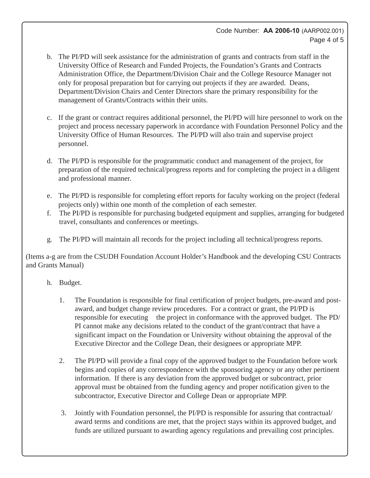- b. The PI/PD will seek assistance for the administration of grants and contracts from staff in the University Office of Research and Funded Projects, the Foundation's Grants and Contracts Administration Office, the Department/Division Chair and the College Resource Manager not only for proposal preparation but for carrying out projects if they are awarded. Deans, Department/Division Chairs and Center Directors share the primary responsibility for the management of Grants/Contracts within their units.
- c. If the grant or contract requires additional personnel, the PI/PD will hire personnel to work on the project and process necessary paperwork in accordance with Foundation Personnel Policy and the University Office of Human Resources. The PI/PD will also train and supervise project personnel.
- d. The PI/PD is responsible for the programmatic conduct and management of the project, for preparation of the required technical/progress reports and for completing the project in a diligent and professional manner.
- e. The PI/PD is responsible for completing effort reports for faculty working on the project (federal projects only) within one month of the completion of each semester.
- f. The PI/PD is responsible for purchasing budgeted equipment and supplies, arranging for budgeted travel, consultants and conferences or meetings.
- g. The PI/PD will maintain all records for the project including all technical/progress reports.

(Items a-g are from the CSUDH Foundation Account Holder's Handbook and the developing CSU Contracts and Grants Manual)

- h. Budget.
	- 1. The Foundation is responsible for final certification of project budgets, pre-award and postaward, and budget change review procedures. For a contract or grant, the PI/PD is responsible for executing the project in conformance with the approved budget. The PD/ PI cannot make any decisions related to the conduct of the grant/contract that have a significant impact on the Foundation or University without obtaining the approval of the Executive Director and the College Dean, their designees or appropriate MPP.
	- 2. The PI/PD will provide a final copy of the approved budget to the Foundation before work begins and copies of any correspondence with the sponsoring agency or any other pertinent information. If there is any deviation from the approved budget or subcontract, prior approval must be obtained from the funding agency and proper notification given to the subcontractor, Executive Director and College Dean or appropriate MPP.
	- 3. Jointly with Foundation personnel, the PI/PD is responsible for assuring that contractual/ award terms and conditions are met, that the project stays within its approved budget, and funds are utilized pursuant to awarding agency regulations and prevailing cost principles.